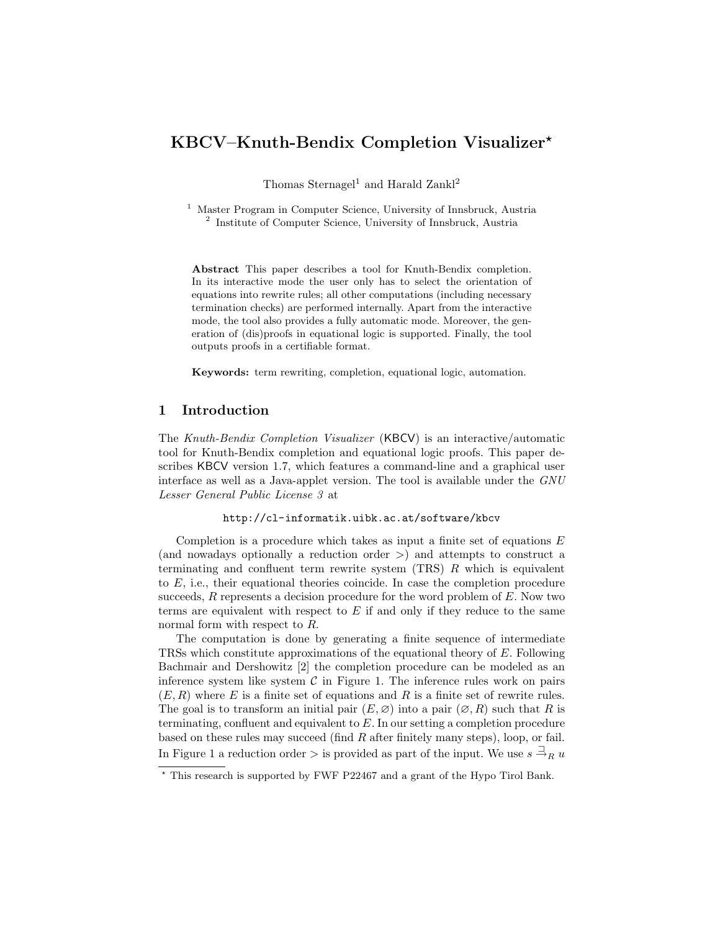# KBCV–Knuth-Bendix Completion Visualizer?

Thomas Sternagel<sup>1</sup> and Harald Zankl<sup>2</sup>

<sup>1</sup> Master Program in Computer Science, University of Innsbruck, Austria 2 Institute of Computer Science, University of Innsbruck, Austria

Abstract This paper describes a tool for Knuth-Bendix completion. In its interactive mode the user only has to select the orientation of equations into rewrite rules; all other computations (including necessary termination checks) are performed internally. Apart from the interactive mode, the tool also provides a fully automatic mode. Moreover, the generation of (dis)proofs in equational logic is supported. Finally, the tool outputs proofs in a certifiable format.

Keywords: term rewriting, completion, equational logic, automation.

### 1 Introduction

The Knuth-Bendix Completion Visualizer (KBCV) is an interactive/automatic tool for Knuth-Bendix completion and equational logic proofs. This paper describes KBCV version 1.7, which features a command-line and a graphical user interface as well as a Java-applet version. The tool is available under the GNU Lesser General Public License 3 at

<http://cl-informatik.uibk.ac.at/software/kbcv>

Completion is a procedure which takes as input a finite set of equations  $E$ (and nowadays optionally a reduction order >) and attempts to construct a terminating and confluent term rewrite system  $(TRS)$  R which is equivalent to  $E$ , i.e., their equational theories coincide. In case the completion procedure succeeds,  $R$  represents a decision procedure for the word problem of  $E$ . Now two terms are equivalent with respect to  $E$  if and only if they reduce to the same normal form with respect to R.

The computation is done by generating a finite sequence of intermediate TRSs which constitute approximations of the equational theory of E. Following Bachmair and Dershowitz [2] the completion procedure can be modeled as an inference system like system  $\mathcal C$  in Figure [1.](#page-1-0) The inference rules work on pairs  $(E, R)$  where E is a finite set of equations and R is a finite set of rewrite rules. The goal is to transform an initial pair  $(E, \varnothing)$  into a pair  $(\varnothing, R)$  such that R is terminating, confluent and equivalent to  $E$ . In our setting a completion procedure based on these rules may succeed (find R after finitely many steps), loop, or fail. In Figure [1](#page-1-0) a reduction order  $>$  is provided as part of the input. We use  $s \stackrel{\supset}{\rightarrow}_R u$ 

<sup>?</sup> This research is supported by FWF P22467 and a grant of the Hypo Tirol Bank.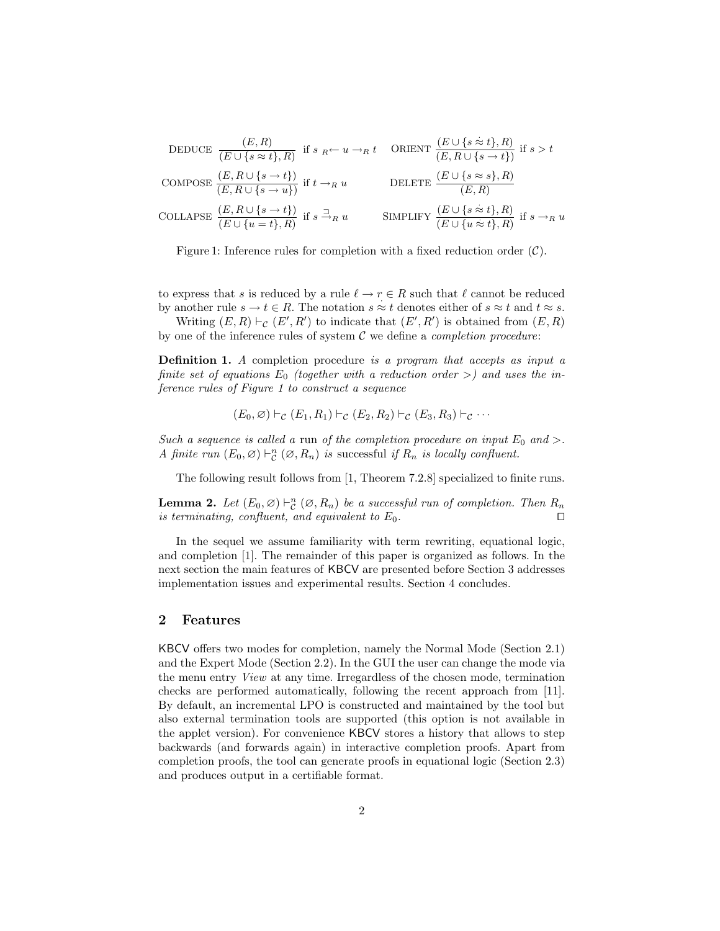DEDUCE

\n
$$
\frac{(E, R)}{(E \cup \{s \approx t\}, R)}
$$
\nif  $s_R \leftarrow u \rightarrow_R t$ 

\nORIENT

\n
$$
\frac{(E \cup \{s \approx t\}, R)}{(E, R \cup \{s \rightarrow t\})}
$$
\nif  $t \rightarrow_R u$ 

\nDELETE

\n
$$
\frac{(E \cup \{s \approx s\}, R)}{(E, R)}
$$
\nCOLLAPSE

\n
$$
\frac{(E, R \cup \{s \rightarrow t\})}{(E \cup \{u = t\}, R)}
$$
\nif  $s \exists_R u$ 

\nSIMPLIFY

\n
$$
\frac{(E \cup \{s \approx t\}, R)}{(E \cup \{u \approx t\}, R)}
$$
\nif  $s \rightarrow_R u$ 

<span id="page-1-0"></span>Figure 1: Inference rules for completion with a fixed reduction order  $(C)$ .

to express that s is reduced by a rule  $\ell \to r \in R$  such that  $\ell$  cannot be reduced by another rule  $s \to t \in R$ . The notation  $s \approx t$  denotes either of  $s \approx t$  and  $t \approx s$ .

Writing  $(E, R) \vdash_{\mathcal{C}} (E', R')$  to indicate that  $(E', R')$  is obtained from  $(E, R)$ by one of the inference rules of system  $C$  we define a *completion procedure*:

Definition 1. A completion procedure is a program that accepts as input a finite set of equations  $E_0$  (together with a reduction order  $>$ ) and uses the inference rules of Figure [1](#page-1-0) to construct a sequence

$$
(E_0,\varnothing)\vdash_{\mathcal{C}}(E_1,R_1)\vdash_{\mathcal{C}}(E_2,R_2)\vdash_{\mathcal{C}}(E_3,R_3)\vdash_{\mathcal{C}}\cdots
$$

Such a sequence is called a run of the completion procedure on input  $E_0$  and >. A finite run  $(E_0, \emptyset) \vdash_{\mathcal{C}}^n (\emptyset, R_n)$  is successful if  $R_n$  is locally confluent.

The following result follows from [1, Theorem 7.2.8] specialized to finite runs.

**Lemma 2.** Let  $(E_0, \emptyset) \vdash_{\mathcal{C}}^n (\emptyset, R_n)$  be a successful run of completion. Then  $R_n$ is terminating, confluent, and equivalent to  $E_0$ .

In the sequel we assume familiarity with term rewriting, equational logic, and completion [1]. The remainder of this paper is organized as follows. In the next section the main features of KBCV are presented before Section [3](#page-4-0) addresses implementation issues and experimental results. Section [4](#page-6-0) concludes.

#### 2 Features

KBCV offers two modes for completion, namely the Normal Mode (Section [2.1\)](#page-2-0) and the Expert Mode (Section [2.2\)](#page-3-0). In the GUI the user can change the mode via the menu entry View at any time. Irregardless of the chosen mode, termination checks are performed automatically, following the recent approach from [11]. By default, an incremental LPO is constructed and maintained by the tool but also external termination tools are supported (this option is not available in the applet version). For convenience KBCV stores a history that allows to step backwards (and forwards again) in interactive completion proofs. Apart from completion proofs, the tool can generate proofs in equational logic (Section [2.3\)](#page-4-1) and produces output in a certifiable format.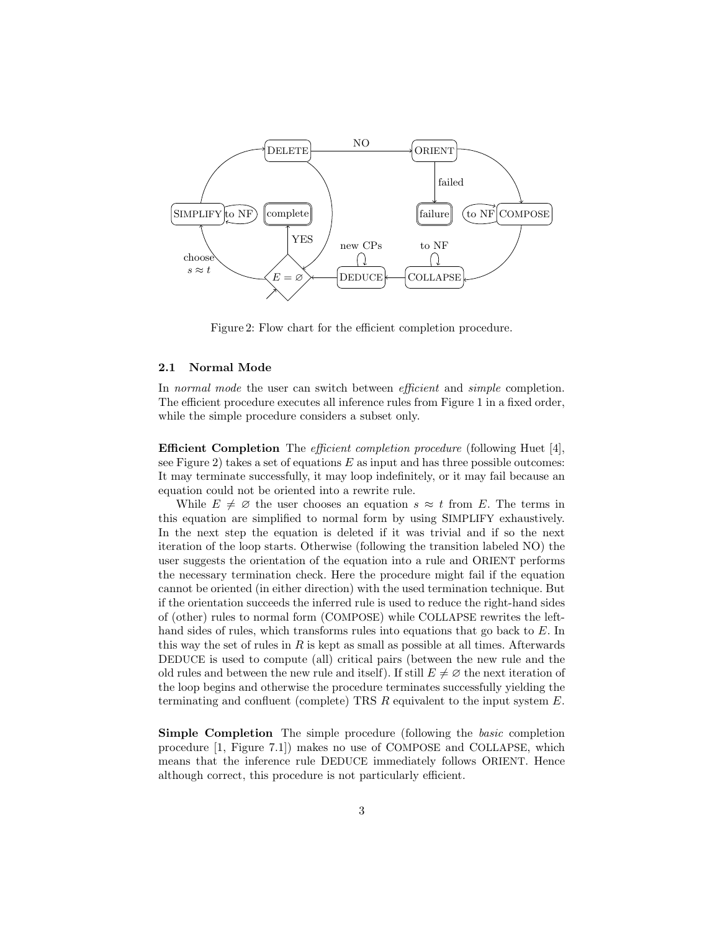

<span id="page-2-1"></span>Figure 2: Flow chart for the efficient completion procedure.

#### <span id="page-2-0"></span>2.1 Normal Mode

In normal mode the user can switch between efficient and simple completion. The efficient procedure executes all inference rules from Figure [1](#page-1-0) in a fixed order, while the simple procedure considers a subset only.

Efficient Completion The efficient completion procedure (following Huet [4], see Figure [2\)](#page-2-1) takes a set of equations  $E$  as input and has three possible outcomes: It may terminate successfully, it may loop indefinitely, or it may fail because an equation could not be oriented into a rewrite rule.

While  $E \neq \emptyset$  the user chooses an equation  $s \approx t$  from E. The terms in this equation are simplified to normal form by using SIMPLIFY exhaustively. In the next step the equation is deleted if it was trivial and if so the next iteration of the loop starts. Otherwise (following the transition labeled NO) the user suggests the orientation of the equation into a rule and ORIENT performs the necessary termination check. Here the procedure might fail if the equation cannot be oriented (in either direction) with the used termination technique. But if the orientation succeeds the inferred rule is used to reduce the right-hand sides of (other) rules to normal form (COMPOSE) while COLLAPSE rewrites the lefthand sides of rules, which transforms rules into equations that go back to E. In this way the set of rules in  $R$  is kept as small as possible at all times. Afterwards DEDUCE is used to compute (all) critical pairs (between the new rule and the old rules and between the new rule and itself). If still  $E \neq \emptyset$  the next iteration of the loop begins and otherwise the procedure terminates successfully yielding the terminating and confluent (complete) TRS  $R$  equivalent to the input system  $E$ .

Simple Completion The simple procedure (following the *basic* completion procedure [1, Figure 7.1]) makes no use of COMPOSE and COLLAPSE, which means that the inference rule DEDUCE immediately follows ORIENT. Hence although correct, this procedure is not particularly efficient.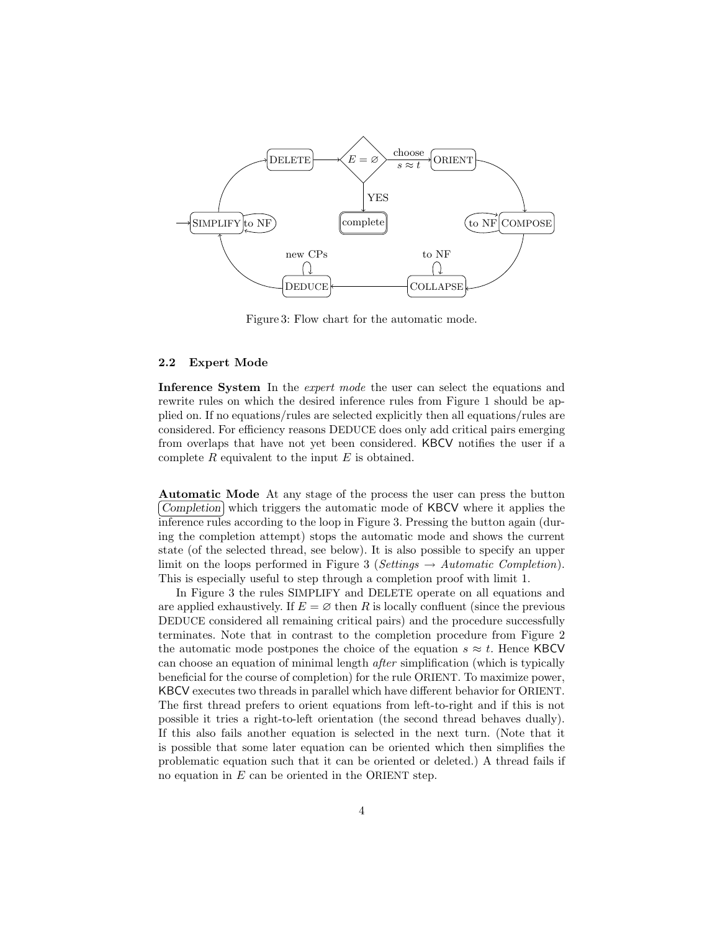

<span id="page-3-1"></span>Figure 3: Flow chart for the automatic mode.

#### <span id="page-3-0"></span>2.2 Expert Mode

Inference System In the *expert mode* the user can select the equations and rewrite rules on which the desired inference rules from Figure [1](#page-1-0) should be applied on. If no equations/rules are selected explicitly then all equations/rules are considered. For efficiency reasons DEDUCE does only add critical pairs emerging from overlaps that have not yet been considered. KBCV notifies the user if a complete  $R$  equivalent to the input  $E$  is obtained.

Automatic Mode At any stage of the process the user can press the button Completion which triggers the automatic mode of KBCV where it applies the inference rules according to the loop in Figure [3.](#page-3-1) Pressing the button again (during the completion attempt) stops the automatic mode and shows the current state (of the selected thread, see below). It is also possible to specify an upper limit on the loops performed in Figure [3](#page-3-1) (Settings  $\rightarrow$  Automatic Completion). This is especially useful to step through a completion proof with limit 1.

In Figure [3](#page-3-1) the rules SIMPLIFY and DELETE operate on all equations and are applied exhaustively. If  $E = \emptyset$  then R is locally confluent (since the previous DEDUCE considered all remaining critical pairs) and the procedure successfully terminates. Note that in contrast to the completion procedure from Figure [2](#page-2-1) the automatic mode postpones the choice of the equation  $s \approx t$ . Hence KBCV can choose an equation of minimal length after simplification (which is typically beneficial for the course of completion) for the rule ORIENT. To maximize power, KBCV executes two threads in parallel which have different behavior for ORIENT. The first thread prefers to orient equations from left-to-right and if this is not possible it tries a right-to-left orientation (the second thread behaves dually). If this also fails another equation is selected in the next turn. (Note that it is possible that some later equation can be oriented which then simplifies the problematic equation such that it can be oriented or deleted.) A thread fails if no equation in  $E$  can be oriented in the ORIENT step.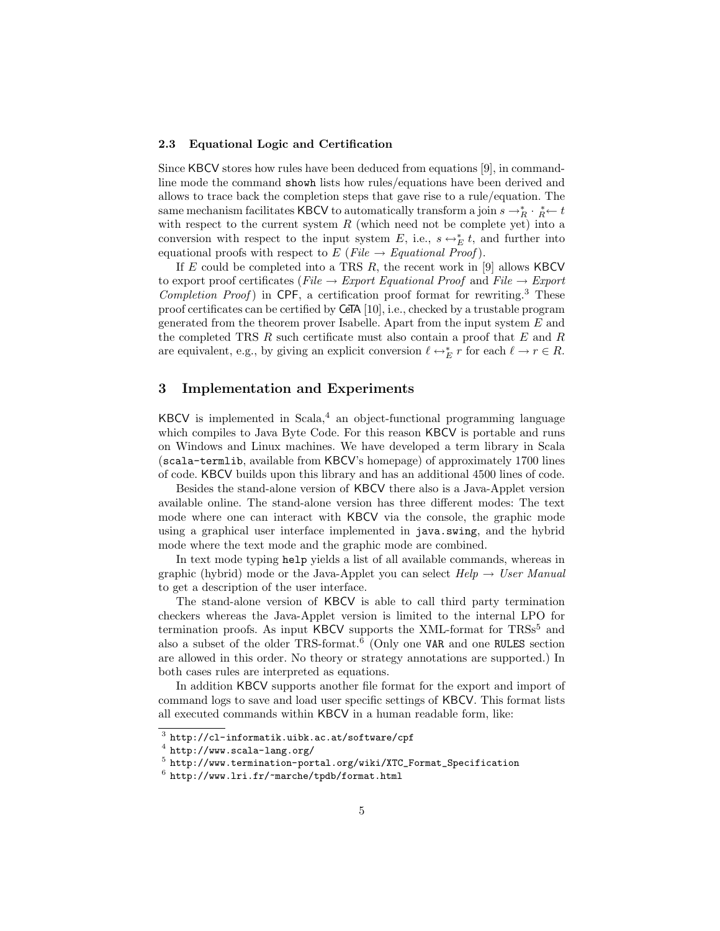#### <span id="page-4-1"></span>2.3 Equational Logic and Certification

Since KBCV stores how rules have been deduced from equations [9], in commandline mode the command showh lists how rules/equations have been derived and allows to trace back the completion steps that gave rise to a rule/equation. The same mechanism facilitates KBCV to automatically transform a join  $s \to_R^* \cdot \frac{1}{R} \leftarrow t$ with respect to the current system  $R$  (which need not be complete yet) into a conversion with respect to the input system E, i.e.,  $s \leftrightarrow_E^* t$ , and further into equational proofs with respect to  $E$  (File  $\rightarrow$  Equational Proof).

If  $E$  could be completed into a TRS  $R$ , the recent work in [9] allows KBCV to export proof certificates (File  $\rightarrow$  Export Equational Proof and File  $\rightarrow$  Export Completion Proof) in CPF, a certification proof format for rewriting.<sup>[3](#page-4-2)</sup> These proof certificates can be certified by CeTA [10], i.e., checked by a trustable program generated from the theorem prover Isabelle. Apart from the input system  $E$  and the completed TRS R such certificate must also contain a proof that  $E$  and  $R$ are equivalent, e.g., by giving an explicit conversion  $\ell \leftrightarrow_{E}^* r$  for each  $\ell \to r \in R$ .

# <span id="page-4-0"></span>3 Implementation and Experiments

KBCV is implemented in Scala, $4$  an object-functional programming language which compiles to Java Byte Code. For this reason KBCV is portable and runs on Windows and Linux machines. We have developed a term library in Scala (scala-termlib, available from KBCV's homepage) of approximately 1700 lines of code. KBCV builds upon this library and has an additional 4500 lines of code.

Besides the stand-alone version of KBCV there also is a Java-Applet version available online. The stand-alone version has three different modes: The text mode where one can interact with KBCV via the console, the graphic mode using a graphical user interface implemented in java.swing, and the hybrid mode where the text mode and the graphic mode are combined.

In text mode typing help yields a list of all available commands, whereas in graphic (hybrid) mode or the Java-Applet you can select  $Help \rightarrow User Manual$ to get a description of the user interface.

The stand-alone version of KBCV is able to call third party termination checkers whereas the Java-Applet version is limited to the internal LPO for termination proofs. As input KBCV supports the XML-format for  $TRS<sub>5</sub>$  $TRS<sub>5</sub>$  $TRS<sub>5</sub>$  and also a subset of the older TRS-format.<sup>[6](#page-4-5)</sup> (Only one VAR and one RULES section are allowed in this order. No theory or strategy annotations are supported.) In both cases rules are interpreted as equations.

In addition KBCV supports another file format for the export and import of command logs to save and load user specific settings of KBCV. This format lists all executed commands within KBCV in a human readable form, like:

<span id="page-4-2"></span> $^3$  <http://cl-informatik.uibk.ac.at/software/cpf>

<span id="page-4-3"></span> $^4$  <http://www.scala-lang.org/>

<span id="page-4-4"></span><sup>5</sup> [http://www.termination-portal.org/wiki/XTC\\_Format\\_Specification](http://www.termination-portal.org/wiki/XTC_Format_Specification)

<span id="page-4-5"></span> $^6$  <http://www.lri.fr/~marche/tpdb/format.html>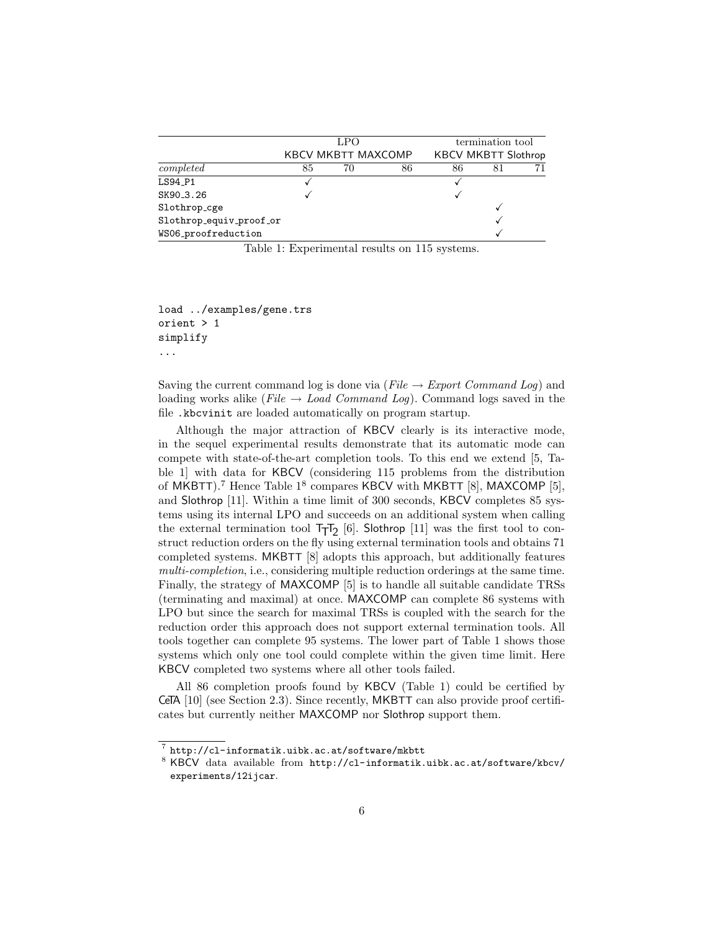|                         | LPO |                           |    | termination tool           |    |  |
|-------------------------|-----|---------------------------|----|----------------------------|----|--|
|                         |     | <b>KBCV MKBTT MAXCOMP</b> |    | <b>KBCV MKBTT Slothrop</b> |    |  |
| $\mathit{completed}$    | 85  | 70                        | 86 | 86                         | 81 |  |
| LS94_P1                 |     |                           |    |                            |    |  |
| SK90_3.26               |     |                           |    |                            |    |  |
| Slothrop_cge            |     |                           |    |                            |    |  |
| Slothrop_equiv_proof_or |     |                           |    |                            |    |  |
| WS06_proofreduction     |     |                           |    |                            |    |  |

<span id="page-5-1"></span>Table 1: Experimental results on 115 systems.

load ../examples/gene.trs orient > 1 simplify ...

Saving the current command log is done via ( $File \rightarrow Expert \ Command \ Log$ ) and loading works alike ( $File \rightarrow Load\ Command\ Log$ ). Command logs saved in the file .kbcvinit are loaded automatically on program startup.

Although the major attraction of KBCV clearly is its interactive mode, in the sequel experimental results demonstrate that its automatic mode can compete with state-of-the-art completion tools. To this end we extend [5, Table 1] with data for KBCV (considering 115 problems from the distribution of MKBTT).<sup>[7](#page-5-0)</sup> Hence Table  $1^8$  $1^8$  compares KBCV with MKBTT [8], MAXCOMP [5], and Slothrop [11]. Within a time limit of 300 seconds, KBCV completes 85 systems using its internal LPO and succeeds on an additional system when calling the external termination tool  $T_{\overline{1}}T_{2}$  [6]. Slothrop [11] was the first tool to construct reduction orders on the fly using external termination tools and obtains 71 completed systems. MKBTT [8] adopts this approach, but additionally features multi-completion, i.e., considering multiple reduction orderings at the same time. Finally, the strategy of MAXCOMP [5] is to handle all suitable candidate TRSs (terminating and maximal) at once. MAXCOMP can complete 86 systems with LPO but since the search for maximal TRSs is coupled with the search for the reduction order this approach does not support external termination tools. All tools together can complete 95 systems. The lower part of Table [1](#page-5-1) shows those systems which only one tool could complete within the given time limit. Here KBCV completed two systems where all other tools failed.

All 86 completion proofs found by KBCV (Table [1\)](#page-5-1) could be certified by CeTA [10] (see Section [2.3\)](#page-4-1). Since recently, MKBTT can also provide proof certificates but currently neither MAXCOMP nor Slothrop support them.

<span id="page-5-0"></span><sup>7</sup> <http://cl-informatik.uibk.ac.at/software/mkbtt>

<span id="page-5-2"></span><sup>8</sup> KBCV data available from [http://cl-informatik.uibk.ac.at/software/kbcv/](http://cl-informatik.uibk.ac.at/software/kbcv/experiments/12ijcar) [experiments/12ijcar](http://cl-informatik.uibk.ac.at/software/kbcv/experiments/12ijcar).